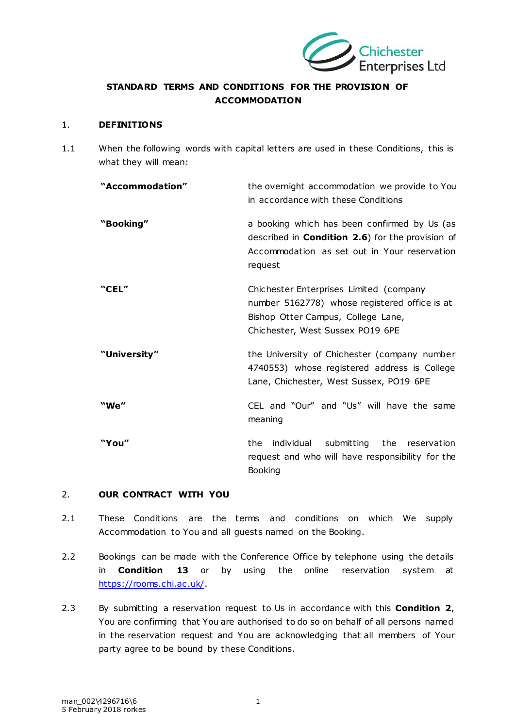

# **STANDARD TERMS AND CONDITIONS FOR THE PROVISION OF ACCOMMODATION**

#### 1. **DEFINITIONS**

1.1 When the following words with capital letters are used in these Conditions, this is what they will mean:

| "Accommodation" | the overnight accommodation we provide to You<br>in accordance with these Conditions                                                                                |
|-----------------|---------------------------------------------------------------------------------------------------------------------------------------------------------------------|
| "Booking"       | a booking which has been confirmed by Us (as<br>described in <b>Condition 2.6</b> ) for the provision of<br>Accommodation as set out in Your reservation<br>request |
| "CEL"           | Chichester Enterprises Limited (company<br>number 5162778) whose registered office is at<br>Bishop Otter Campus, College Lane,<br>Chichester, West Sussex PO19 6PE  |
| "University"    | the University of Chichester (company number<br>4740553) whose registered address is College<br>Lane, Chichester, West Sussex, PO19 6PE                             |
| "We"            | CEL and "Our" and "Us" will have the same<br>meaning                                                                                                                |
| "You"           | individual submitting the reservation<br>the<br>request and who will have responsibility for the<br>Booking                                                         |

# <span id="page-0-0"></span>2. **OUR CONTRACT WITH YOU**

- 2.1 These Conditions are the terms and conditions on which We supply Accommodation to You and all guests named on the Booking.
- 2.2 Bookings can be made with the Conference Office by telephone using the details in **Condition [13](#page-6-0)** or by using the online reservation system at [https://rooms.chi.ac .uk/.](https://rooms.chi.ac.uk/)
- 2.3 By submitting a reservation request to Us in accordance with this **Condition [2](#page-0-0)**, You are confirming that You are authorised to do so on behalf of all persons named in the reservation request and You are acknowledging that all members of Your party agree to be bound by these Conditions.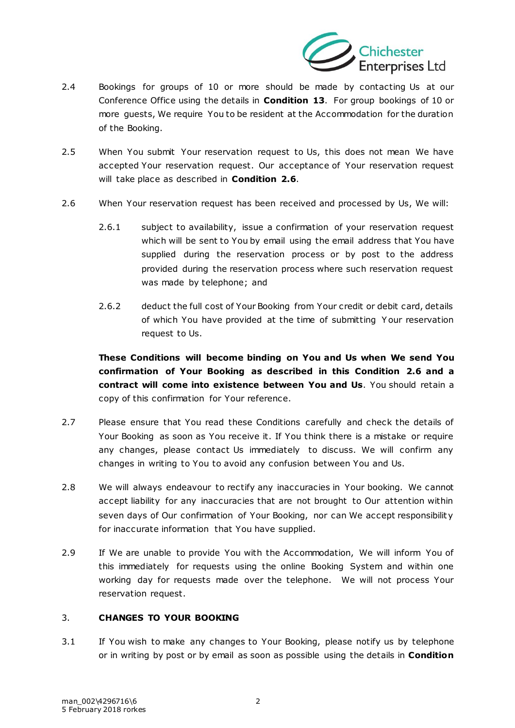

- 2.4 Bookings for groups of 10 or more should be made by contacting Us at our Conference Office using the details in **Condition [13](#page-6-0)**. For group bookings of 10 or more guests, We require You to be resident at the Accommodation for the duration of the Booking.
- 2.5 When You submit Your reservation request to Us, this does not mean We have accepted Your reservation request. Our acceptance of Your reservation request will take place as described in **Condition [2.6](#page-1-0)**.
- <span id="page-1-0"></span>2.6 When Your reservation request has been received and processed by Us, We will:
	- 2.6.1 subject to availability, issue a confirmation of your reservation request which will be sent to You by email using the email address that You have supplied during the reservation process or by post to the address provided during the reservation process where such reservation request was made by telephone; and
	- 2.6.2 deduct the full cost of Your Booking from Your credit or debit card, details of which You have provided at the time of submitting Y our reservation request to Us.

**These Conditions will become binding on You and Us when We send You confirmation of Your Booking as described in this Condition [2.6](#page-1-0) and a contract will come into existence between You and Us**. You should retain a copy of this confirmation for Your reference.

- 2.7 Please ensure that You read these Conditions carefully and check the details of Your Booking as soon as You receive it. If You think there is a mistake or require any changes, please contact Us immediately to discuss. We will confirm any changes in writing to You to avoid any confusion between You and Us.
- 2.8 We will always endeavour to rectify any inaccuracies in Your booking. We cannot accept liability for any inaccuracies that are not brought to Our attention within seven days of Our confirmation of Your Booking, nor can We accept responsibilit y for inaccurate information that You have supplied.
- 2.9 If We are unable to provide You with the Accommodation, We will inform You of this immediately for requests using the online Booking System and within one working day for requests made over the telephone. We will not process Your reservation request.

# 3. **CHANGES TO YOUR BOOKING**

3.1 If You wish to make any changes to Your Booking, please notify us by telephone or in writing by post or by email as soon as possible using the details in **Condition**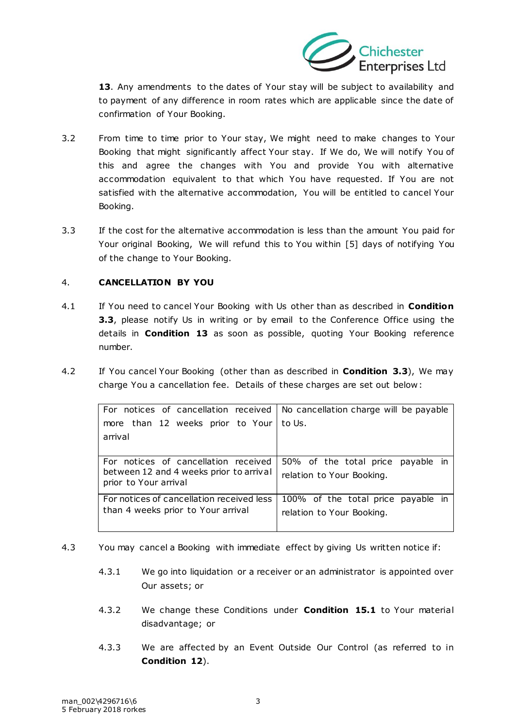

**[13](#page-6-0)**. Any amendments to the dates of Your stay will be subject to availability and to payment of any difference in room rates which are applicable since the date of confirmation of Your Booking.

- 3.2 From time to time prior to Your stay, We might need to make changes to Your Booking that might significantly affect Your stay. If We do, We will notify You of this and agree the changes with You and provide You with alternative accommodation equivalent to that which You have requested. If You are not satisfied with the alternative accommodation, You will be entitled to cancel Your Booking.
- <span id="page-2-0"></span>3.3 If the cost for the alternative accommodation is less than the amount You paid for Your original Booking, We will refund this to You within [5] days of notifying You of the change to Your Booking.

# <span id="page-2-1"></span>4. **CANCELLATION BY YOU**

- 4.1 If You need to cancel Your Booking with Us other than as described in **Condition [3.3](#page-2-0)**, please notify Us in writing or by email to the Conference Office using the details in **Condition [13](#page-6-0)** as soon as possible, quoting Your Booking reference number.
- 4.2 If You cancel Your Booking (other than as described in **Condition [3.3](#page-2-0)**), We may charge You a cancellation fee. Details of these charges are set out below :

| For notices of cancellation received   No cancellation charge will be payable |                                    |
|-------------------------------------------------------------------------------|------------------------------------|
| more than 12 weeks prior to Your   to Us.                                     |                                    |
| arrival                                                                       |                                    |
|                                                                               |                                    |
| For notices of cancellation received                                          | 50% of the total price payable in  |
| between 12 and 4 weeks prior to arrival<br>prior to Your arrival              | relation to Your Booking.          |
| For notices of cancellation received less                                     | 100% of the total price payable in |
| than 4 weeks prior to Your arrival                                            | relation to Your Booking.          |
|                                                                               |                                    |

- 4.3 You may cancel a Booking with immediate effect by giving Us written notice if:
	- 4.3.1 We go into liquidation or a receiver or an administrator is appointed over Our assets; or
	- 4.3.2 We change these Conditions under **Condition [15.1](#page-7-0)** to Your material disadvantage; or
	- 4.3.3 We are affected by an Event Outside Our Control (as referred to in **Condition [12](#page-6-1)**).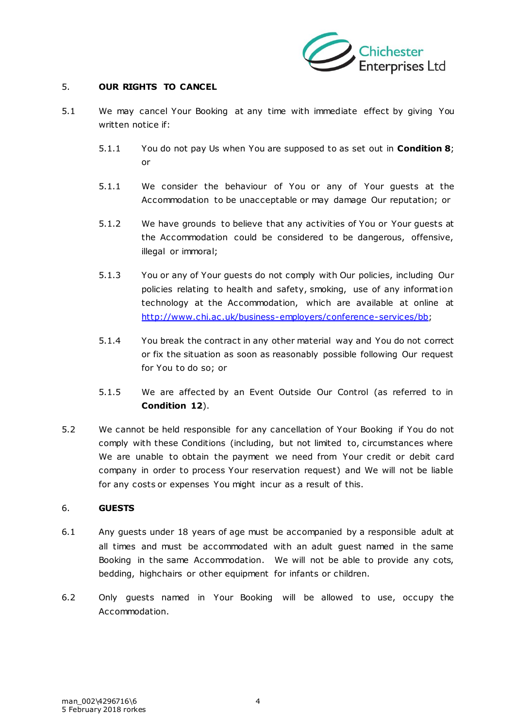

# 5. **OUR RIGHTS TO CANCEL**

- 5.1 We may cancel Your Booking at any time with immediate effect by giving You written notice if:
	- 5.1.1 You do not pay Us when You are supposed to as set out in **Conditio[n 8](#page-4-0)**; or
	- 5.1.1 We consider the behaviour of You or any of Your guests at the Accommodation to be unacceptable or may damage Our reputation; or
	- 5.1.2 We have grounds to believe that any activities of You or Your guests at the Accommodation could be considered to be dangerous, offensive, illegal or immoral;
	- 5.1.3 You or any of Your guests do not comply with Our policies, including Our policies relating to health and safety, smoking, use of any informat ion technology at the Accommodation, which are available at online at [http://www.chi.ac .uk/business-employers/conference-services/bb;](http://www.chi.ac.uk/business-employers/conference-services/bb)
	- 5.1.4 You break the contract in any other material way and You do not correct or fix the situation as soon as reasonably possible following Our request for You to do so; or
	- 5.1.5 We are affected by an Event Outside Our Control (as referred to in **Condition [12](#page-6-1)**).
- 5.2 We cannot be held responsible for any cancellation of Your Booking if You do not comply with these Conditions (including, but not limited to, circumstances where We are unable to obtain the payment we need from Your credit or debit card company in order to process Your reservation request) and We will not be liable for any costs or expenses You might incur as a result of this.

#### 6. **GUESTS**

- 6.1 Any guests under 18 years of age must be accompanied by a responsible adult at all times and must be accommodated with an adult guest named in the same Booking in the same Accommodation. We will not be able to provide any cots, bedding, highchairs or other equipment for infants or children.
- 6.2 Only guests named in Your Booking will be allowed to use, occupy the Accommodation.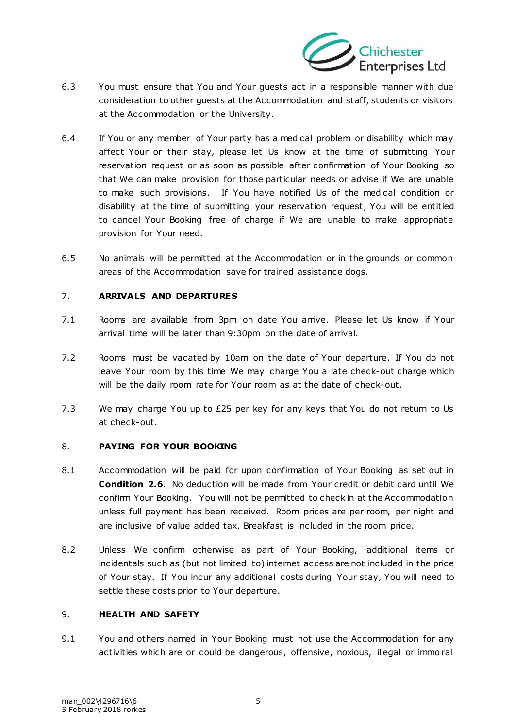

- 6.3 You must ensure that You and Your guests act in a responsible manner with due consideration to other guests at the Accommodation and staff, students or visitors at the Accommodation or the University.
- 6.4 If You or any member of Your party has a medical problem or disability which may affect Your or their stay, please let Us know at the time of submitting Your reservation request or as soon as possible after confirmation of Your Booking so that We can make provision for those particular needs or advise if We are unable to make such provisions. If You have notified Us of the medical condition or disability at the time of submitting your reservation request, You will be entitled to cancel Your Booking free of charge if We are unable to make appropriate provision for Your need.
- 6.5 No animals will be permitted at the Accommodation or in the grounds or common areas of the Accommodation save for trained assistance dogs.

# 7. **ARRIVALS AND DEPARTURES**

- 7.1 Rooms are available from 3pm on date You arrive. Please let Us know if Your arrival time will be later than 9:30pm on the date of arrival.
- 7.2 Rooms must be vacated by 10am on the date of Your departure. If You do not leave Your room by this time We may charge You a late check-out charge which will be the daily room rate for Your room as at the date of check-out.
- 7.3 We may charge You up to £25 per key for any keys that You do not return to Us at check-out.

#### <span id="page-4-0"></span>8. **PAYING FOR YOUR BOOKING**

- 8.1 Accommodation will be paid for upon confirmation of Your Booking as set out in **Condition [2.6](#page-1-0)**. No deduction will be made from Your credit or debit card until We confirm Your Booking. You will not be permitted to check in at the Accommodation unless full payment has been received. Room prices are per room, per night and are inclusive of value added tax. Breakfast is included in the room price.
- 8.2 Unless We confirm otherwise as part of Your Booking, additional items or incidentals such as (but not limited to) internet access are not included in the price of Your stay. If You incur any additional costs during Your stay, You will need to settle these costs prior to Your departure.

#### 9. **HEALTH AND SAFETY**

9.1 You and others named in Your Booking must not use the Accommodation for any activities which are or could be dangerous, offensive, noxious, illegal or immo ral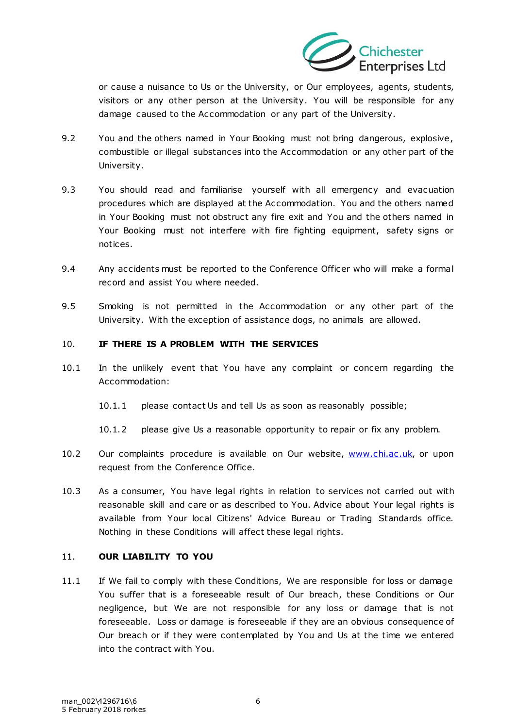

or cause a nuisance to Us or the University, or Our employees, agents, students, visitors or any other person at the University. You will be responsible for any damage caused to the Accommodation or any part of the University.

- 9.2 You and the others named in Your Booking must not bring dangerous, explosive , combustible or illegal substances into the Accommodation or any other part of the University.
- 9.3 You should read and familiarise yourself with all emergency and evacuation procedures which are displayed at the Accommodation. You and the others named in Your Booking must not obstruct any fire exit and You and the others named in Your Booking must not interfere with fire fighting equipment, safety signs or notices.
- 9.4 Any accidents must be reported to the Conference Officer who will make a formal record and assist You where needed.
- 9.5 Smoking is not permitted in the Accommodation or any other part of the University. With the exception of assistance dogs, no animals are allowed.

# 10. **IF THERE IS A PROBLEM WITH THE SERVICES**

- 10.1 In the unlikely event that You have any complaint or concern regarding the Accommodation:
	- 10.1.1 please contact Us and tell Us as soon as reasonably possible;
	- 10.1.2 please give Us a reasonable opportunity to repair or fix any problem.
- 10.2 Our complaints procedure is available on Our website, www.chi.ac.uk, or upon request from the Conference Office.
- 10.3 As a consumer, You have legal rights in relation to services not carried out with reasonable skill and care or as described to You. Advice about Your legal rights is available from Your local Citizens' Advice Bureau or Trading Standards office. Nothing in these Conditions will affect these legal rights.

# 11. **OUR LIABILITY TO YOU**

11.1 If We fail to comply with these Conditions, We are responsible for loss or damage You suffer that is a foreseeable result of Our breach, these Conditions or Our negligence, but We are not responsible for any loss or damage that is not foreseeable. Loss or damage is foreseeable if they are an obvious consequence of Our breach or if they were contemplated by You and Us at the time we entered into the contract with You.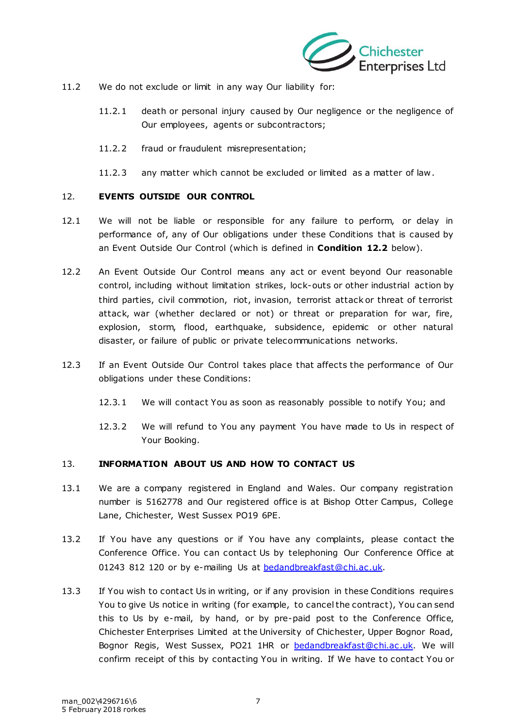

- 11.2 We do not exclude or limit in any way Our liability for:
	- 11.2.1 death or personal injury caused by Our negligence or the negligence of Our employees, agents or subcontractors;
	- 11.2.2 fraud or fraudulent misrepresentation;
	- 11.2.3 any matter which cannot be excluded or limited as a matter of law .

# <span id="page-6-1"></span>12. **EVENTS OUTSIDE OUR CONTROL**

- 12.1 We will not be liable or responsible for any failure to perform, or delay in performance of, any of Our obligations under these Conditions that is caused by an Event Outside Our Control (which is defined in **Condition [12.2](#page-6-2)** below).
- <span id="page-6-2"></span>12.2 An Event Outside Our Control means any act or event beyond Our reasonable control, including without limitation strikes, lock-outs or other industrial action by third parties, civil commotion, riot, invasion, terrorist attack or threat of terrorist attack, war (whether declared or not) or threat or preparation for war, fire, explosion, storm, flood, earthquake, subsidence, epidemic or other natural disaster, or failure of public or private telecommunications networks.
- 12.3 If an Event Outside Our Control takes place that affects the performance of Our obligations under these Conditions:
	- 12.3.1 We will contact You as soon as reasonably possible to notify You; and
	- 12.3.2 We will refund to You any payment You have made to Us in respect of Your Booking.

#### <span id="page-6-0"></span>13. **INFORMATION ABOUT US AND HOW TO CONTACT US**

- 13.1 We are a company registered in England and Wales. Our company registration number is 5162778 and Our registered office is at Bishop Otter Campus, College Lane, Chichester, West Sussex PO19 6PE.
- 13.2 If You have any questions or if You have any complaints, please contact the Conference Office. You can contact Us by telephoning Our Conference Office at 01243 812 120 or by e-mailing Us at bedandbreakfast@chi.ac.uk.
- 13.3 If You wish to contact Us in writing, or if any provision in these Conditions requires You to give Us notice in writing (for example, to cancel the contract), You can send this to Us by e-mail, by hand, or by pre-paid post to the Conference Office, Chichester Enterprises Limited at the University of Chichester, Upper Bognor Road, Bognor Regis, West Sussex, PO21 1HR or bedandbreakfast@chi.ac.uk. We will confirm receipt of this by contacting You in writing. If We have to contact You or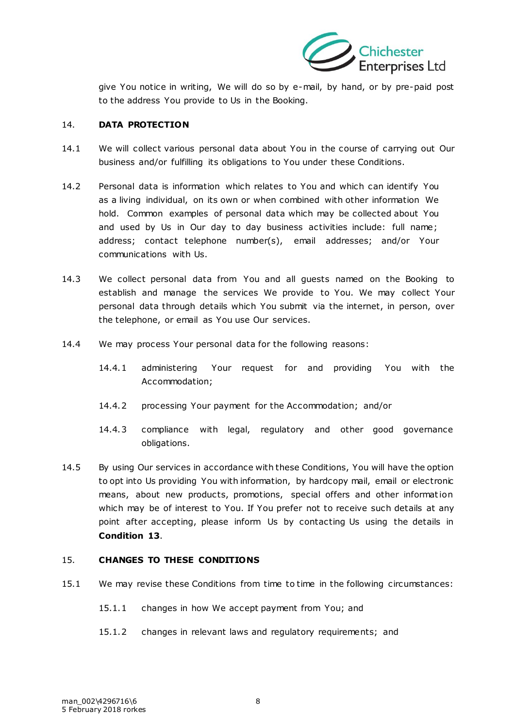

give You notice in writing, We will do so by e-mail, by hand, or by pre-paid post to the address You provide to Us in the Booking.

#### 14. **DATA PROTECTION**

- 14.1 We will collect various personal data about You in the course of carrying out Our business and/or fulfilling its obligations to You under these Conditions.
- 14.2 Personal data is information which relates to You and which can identify You as a living individual, on its own or when combined with other information We hold. Common examples of personal data which may be collected about You and used by Us in Our day to day business activities include: full name; address; contact telephone number(s), email addresses; and/or Your communications with Us.
- 14.3 We collect personal data from You and all guests named on the Booking to establish and manage the services We provide to You. We may collect Your personal data through details which You submit via the internet, in person, over the telephone, or email as You use Our services.
- 14.4 We may process Your personal data for the following reasons:
	- 14.4.1 administering Your request for and providing You with the Accommodation;
	- 14.4.2 processing Your payment for the Accommodation; and/or
	- 14.4.3 compliance with legal, regulatory and other good governance obligations.
- 14.5 By using Our services in accordance with these Conditions, You will have the option to opt into Us providing You with information, by hardcopy mail, email or electronic means, about new products, promotions, special offers and other information which may be of interest to You. If You prefer not to receive such details at any point after accepting, please inform Us by contacting Us using the details in **Condition [13](#page-6-0)**.

#### 15. **CHANGES TO THESE CONDITIONS**

- <span id="page-7-0"></span>15.1 We may revise these Conditions from time to time in the following circumstances:
	- 15.1.1 changes in how We accept payment from You; and
	- 15.1.2 changes in relevant laws and regulatory requirements; and